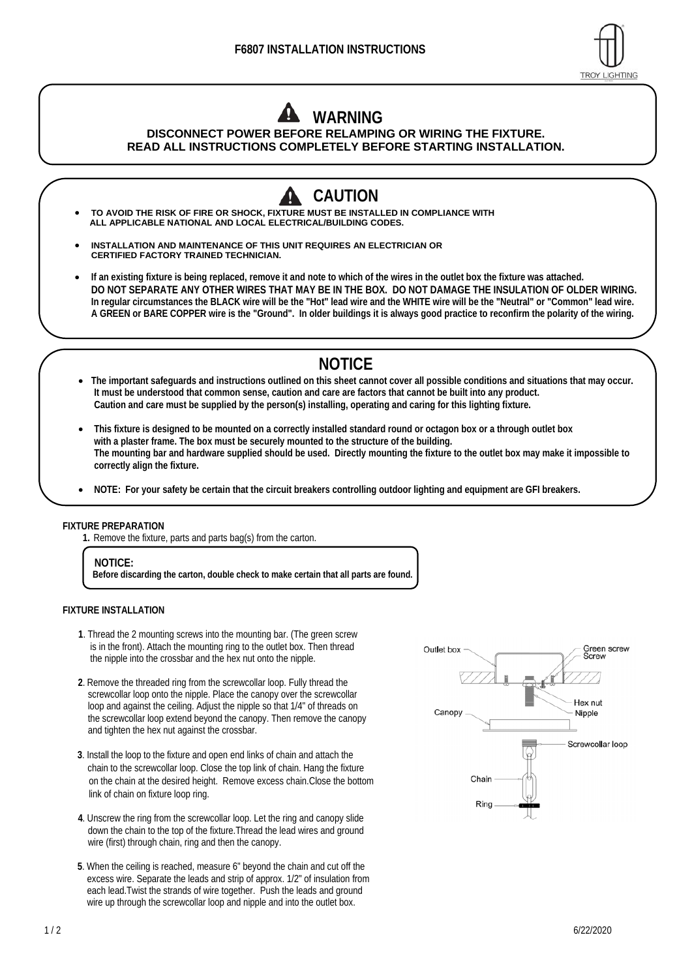

# **WARNING**

### **DISCONNECT POWER BEFORE RELAMPING OR WIRING THE FIXTURE. READ ALL INSTRUCTIONS COMPLETELY BEFORE STARTING INSTALLATION.**

- **CAUTION TO AVOID THE RISK OF FIRE OR SHOCK, FIXTURE MUST BE INSTALLED IN COMPLIANCE WITH ALL APPLICABLE NATIONAL AND LOCAL ELECTRICAL/BUILDING CODES.**
- **INSTALLATION AND MAINTENANCE OF THIS UNIT REQUIRES AN ELECTRICIAN OR CERTIFIED FACTORY TRAINED TECHNICIAN.**
- **If an existing fixture is being replaced, remove it and note to which of the wires in the outlet box the fixture was attached. DO NOT SEPARATE ANY OTHER WIRES THAT MAY BE IN THE BOX. DO NOT DAMAGE THE INSULATION OF OLDER WIRING. In regular circumstances the BLACK wire will be the "Hot" lead wire and the WHITE wire will be the "Neutral" or "Common" lead wire. A GREEN or BARE COPPER wire is the "Ground". In older buildings it is always good practice to reconfirm the polarity of the wiring.**

## **NOTICE**

- **The important safeguards and instructions outlined on this sheet cannot cover all possible conditions and situations that may occur. It must be understood that common sense, caution and care are factors that cannot be built into any product. Caution and care must be supplied by the person(s) installing, operating and caring for this lighting fixture.**
- **This fixture is designed to be mounted on a correctly installed standard round or octagon box or a through outlet box with a plaster frame. The box must be securely mounted to the structure of the building. The mounting bar and hardware supplied should be used. Directly mounting the fixture to the outlet box may make it impossible to correctly align the fixture.**
- **NOTE: For your safety be certain that the circuit breakers controlling outdoor lighting and equipment are GFI breakers.**

#### **FIXTURE PREPARATION**

**1.** Remove the fixture, parts and parts bag(s) from the carton.

#### **NOTICE:**

**Before discarding the carton, double check to make certain that all parts are found.** 

#### **FIXTURE INSTALLATION**

- **1**. Thread the 2 mounting screws into the mounting bar. (The green screw is in the front). Attach the mounting ring to the outlet box. Then thread the nipple into the crossbar and the hex nut onto the nipple.
- **2**. Remove the threaded ring from the screwcollar loop. Fully thread the screwcollar loop onto the nipple. Place the canopy over the screwcollar loop and against the ceiling. Adjust the nipple so that 1/4" of threads on the screwcollar loop extend beyond the canopy. Then remove the canopy and tighten the hex nut against the crossbar.
- **3**. Install the loop to the fixture and open end links of chain and attach the chain to the screwcollar loop. Close the top link of chain. Hang the fixture on the chain at the desired height. Remove excess chain.Close the bottom link of chain on fixture loop ring.
- **4**. Unscrew the ring from the screwcollar loop. Let the ring and canopy slide down the chain to the top of the fixture.Thread the lead wires and ground wire (first) through chain, ring and then the canopy.
- **5**. When the ceiling is reached, measure 6" beyond the chain and cut off the excess wire. Separate the leads and strip of approx. 1/2" of insulation from each lead.Twist the strands of wire together. Push the leads and ground wire up through the screwcollar loop and nipple and into the outlet box.